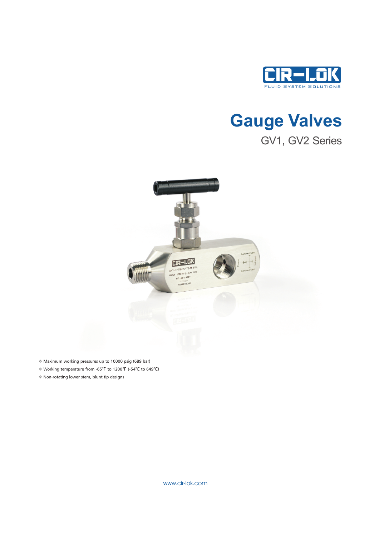

# Gauge Valves GV1, GV2 Series



- v Maximum working pressures up to 10000 psig (689 bar)
- v Working temperature from -65℉ to 1200℉ (-54℃ to 649℃)
- v Non-rotating lower stem, blunt tip designs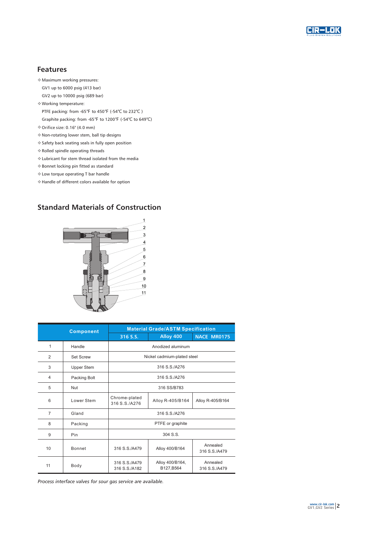

#### Features

- v Maximum working pressures:
- GV1 up to 6000 psig (413 bar)
- GV2 up to 10000 psig (689 bar)
- v Working temperature:
- PTFE packing: from -65℉ to 450℉ (-54℃ to 232℃ )
- Graphite packing: from -65℉ to 1200℉ (-54℃ to 649℃)
- $\textdegree$  Orifice size: 0.16" (4.0 mm)
- v Non-rotating lower stem, ball tip designs
- v Safety back seating seals in fully open position
- v Rolled spindle operating threads
- v Lubricant for stem thread isolated from the media
- v Bonnet locking pin fitted as standard
- v Low torque operating T bar handle
- v Handle of different colors available for option

### Standard Materials of Construction



| <b>Component</b> |                   | <b>Material Grade/ASTM Specification</b> |                               |                           |  |  |
|------------------|-------------------|------------------------------------------|-------------------------------|---------------------------|--|--|
|                  |                   | 316 S.S.                                 | Alloy 400                     | <b>NACE MR0175</b>        |  |  |
| 1                | Handle            | Anodized aluminum                        |                               |                           |  |  |
| $\overline{2}$   | <b>Set Screw</b>  | Nickel cadmium-plated steel              |                               |                           |  |  |
| 3                | <b>Upper Stem</b> | 316 S.S./A276                            |                               |                           |  |  |
| $\overline{4}$   | Packing Bolt      | 316 S.S./A276                            |                               |                           |  |  |
| 5                | <b>Nut</b>        | 316 SS/B783                              |                               |                           |  |  |
| 6                | Lower Stem        | Chrome-plated<br>316 S.S./A276           | Alloy R-405/B164              | Alloy R-405/B164          |  |  |
| $\overline{7}$   | Gland             | 316 S.S./A276                            |                               |                           |  |  |
| 8                | Packing           | PTFE or graphite                         |                               |                           |  |  |
| 9                | Pin               | 304 S.S.                                 |                               |                           |  |  |
| 10               | <b>Bonnet</b>     | 316 S.S./A479                            | Alloy 400/B164                | Annealed<br>316 S.S./A479 |  |  |
| 11               | Body              | 316 S.S./A479<br>316 S.S./A182           | Alloy 400/B164,<br>B127, B564 | Annealed<br>316 S.S./A479 |  |  |

Process interface valves for sour gas service are available.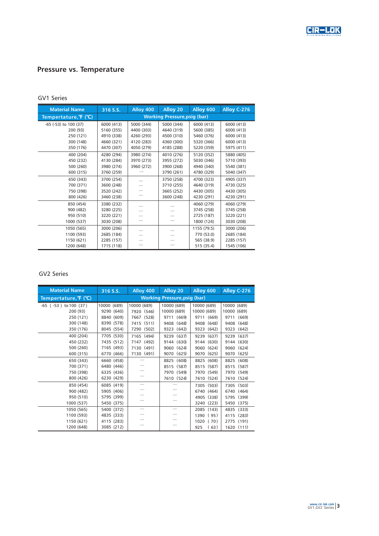

# Pressure vs. Temperature

#### GV1 Series

| <b>Material Name</b>  | 316 S.S.   | Alloy 400                           | Alloy 20   | Alloy 600   | Alloy C-276 |
|-----------------------|------------|-------------------------------------|------------|-------------|-------------|
| Tempertature, F (°C)  |            | <b>Working Pressure, psig (bar)</b> |            |             |             |
| -65 (-53) to 100 (37) | 6000 (413) | 5000 (344)                          | 5000 (344) | 6000 (413)  | 6000 (413)  |
| 200 (93)              | 5160 (355) | 4400 (303)                          | 4640 (319) | 5600 (385)  | 6000 (413)  |
| 250 (121)             | 4910 (338) | 4260 (293)                          | 4500 (310) | 5460 (376)  | 6000 (413)  |
| 300 (148)             | 4660 (321) | 4120 (283)                          | 4360 (300) | 5320 (366)  | 6000 (413)  |
| 350 (176)             | 4470 (307) | 4050 (279)                          | 4185 (288) | 5220 (359)  | 5975 (411)  |
| 400 (204)             | 4280 (294) | 3980 (274)                          | 4010 (276) | 5120 (352)  | 5880 (405)  |
| 450 (232)             | 4130 (284) | 3970 (273)                          | 3955 (272) | 5030 (346)  | 5710 (393)  |
| 500 (260)             | 3980 (274) | 3960 (272)                          | 3900 (268) | 4940 (340)  | 5540 (381)  |
| 600 (315)             | 3760 (259) |                                     | 3790 (261) | 4780 (329)  | 5040 (347)  |
| 650 (343)             | 3700 (254) |                                     | 3750 (258) | 4700 (323)  | 4905 (337)  |
| 700 (371)             | 3600 (248) |                                     | 3710 (255) | 4640 (319)  | 4730 (325)  |
| 750 (398)             | 3520 (242) |                                     | 3665 (252) | 4430 (305)  | 4430 (305)  |
| 800 (426)             | 3460 (238) |                                     | 3600 (248) | 4230 (291)  | 4230 (291)  |
| 850 (454)             | 3380 (232) |                                     |            | 4060 (279)  | 4060 (279)  |
| 900 (482)             | 3280 (225) |                                     |            | 3745 (258)  | 3745 (258)  |
| 950 (510)             | 3220 (221) |                                     |            | 2725 (187)  | 3220 (221)  |
| 1000 (537)            | 3030 (208) |                                     |            | 1800 (124)  | 3030 (208)  |
| 1050 (565)            | 3000 (206) |                                     |            | 1155 (79.5) | 3000 (206)  |
| 1100 (593)            | 2685 (184) |                                     |            | 770 (53.0)  | 2685 (184)  |
| 1150 (621)            | 2285 (157) |                                     |            | 565 (38.9)  | 2285 (157)  |
| 1200 (648)            | 1715 (118) |                                     |            | 515 (35.4)  | 1545 (106)  |

#### GV2 Series

| <b>Material Name</b>        | 316 S.S.                            | Alloy 400     | Alloy 20      | Alloy 600     | Alloy C-276   |
|-----------------------------|-------------------------------------|---------------|---------------|---------------|---------------|
| Tempertature, F (°C)        | <b>Working Pressure, psig (bar)</b> |               |               |               |               |
| $-65$ ( $-53$ ) to 100 (37) | 10000 (689)                         | 10000 (689)   | 10000 (689)   | 10000 (689)   | 10000 (689)   |
| 200 (93)                    | 9290 (640)                          | 7920 (546)    | 10000 (689)   | 10000 (689)   | 10000 (689)   |
| 250 (121)                   | 8840 (609)                          | 7667 (528)    | 9711 (669)    | 9711 (669)    | 9711 (669)    |
| 300 (148)                   | 8390 (578)                          | 7415 (511)    | 9408 (648)    | 9408 (648)    | (648)<br>9408 |
| 350 (176)                   | 8045 (554)                          | (502)<br>7290 | 9323 (642)    | 9323 (642)    | (642)<br>9323 |
| 400 (204)                   | 7705 (530)                          | 7165 (494)    | 9239 (637)    | 9239 (637)    | 9239 (637)    |
| 450 (232)                   | 7435 (512)                          | 7147<br>(492) | (630)<br>9144 | 9144 (630)    | 9144 (630)    |
| 500 (260)                   | 7165 (493)                          | 7130 (491)    | 9060 (624)    | 9060 (624)    | 9060 (624)    |
| 600 (315)                   | 6770 (466)                          | 7130 (491)    | 9070<br>(625) | 9070 (625)    | (625)<br>9070 |
| 650 (343)                   | 6660 (458)                          |               | (608)<br>8825 | 8825 (608)    | 8825 (608)    |
| 700 (371)                   | 6480 (446)                          |               | 8515<br>(587) | 8515 (587)    | 8515<br>(587) |
| 750 (398)                   | 6335 (436)                          |               | 7970<br>(549) | 7970 (549)    | 7970 (549)    |
| 800 (426)                   | 6230 (429)                          |               | 7610 (524)    | 7610 (524)    | 7610 (524)    |
| 850 (454)                   | 6085 (419)                          |               |               | 7305 (503)    | 7305 (503)    |
| 900 (482)                   | 5905 (406)                          |               |               | 6740 (464)    | 6740 (464)    |
| 950 (510)                   | 5795 (399)                          |               |               | 4905 (338)    | (399)<br>5795 |
| 1000 (537)                  | 5450 (375)                          |               |               | 3240<br>(223) | 5450<br>(375) |
| 1050 (565)                  | 5400 (372)                          | ÷,            |               | 2085 (143)    | (333)<br>4835 |
| 1100 (593)                  | 4835 (333)                          |               |               | (95)<br>1390  | (283)<br>4115 |
| 1150 (621)                  | 4115 (283)                          |               |               | 1020<br>(70)  | (191)<br>2775 |
| 1200 (648)                  | 3085 (212)                          |               |               | (63)<br>925   | 1620 (111)    |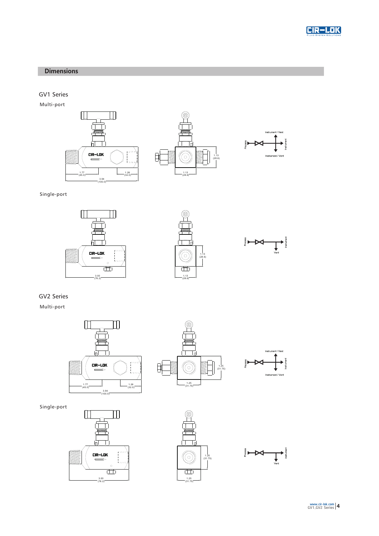

#### **Dimensions**

GV1 Series

Multi-port



Single-port







GV2 Series

Multi-port



Single-port